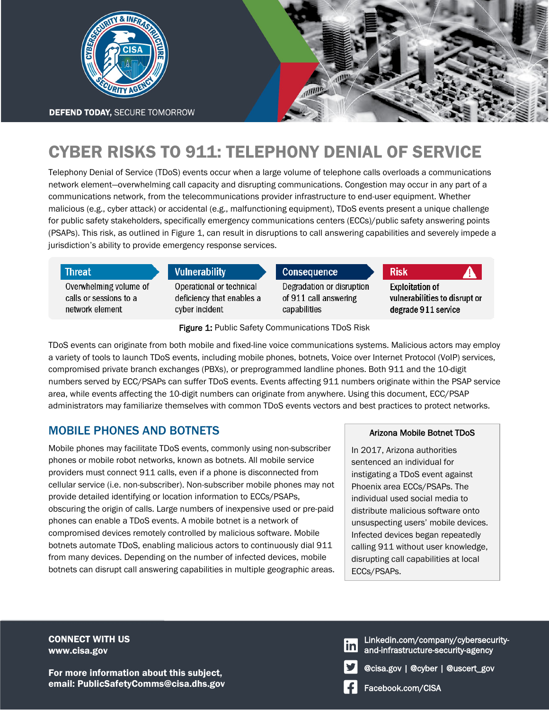

# CYBER RISKS TO 911: TELEPHONY DENIAL OF SERVICE

Telephony Denial of Service (TDoS) events occur when a large volume of telephone calls overloads a communications network element—overwhelming call capacity and disrupting communications. Congestion may occur in any part of a communications network, from the telecommunications provider infrastructure to end-user equipment. Whether malicious (e.g., cyber attack) or accidental (e.g., malfunctioning equipment), TDoS events present a unique challenge for public safety stakeholders, specifically emergency communications centers (ECCs)/public safety answering points (PSAPs). This risk, as outlined in Figure 1, can result in disruptions to call answering capabilities and severely impede a jurisdiction's ability to provide emergency response services.

| <b>Threat</b>          | Vulnerability             | <b>Consequence</b>        | <b>Risk</b><br>A              |
|------------------------|---------------------------|---------------------------|-------------------------------|
| Overwhelming volume of | Operational or technical  | Degradation or disruption | <b>Exploitation of</b>        |
| calls or sessions to a | deficiency that enables a | of 911 call answering     | vulnerabilities to disrupt or |
| network element        | cyber incident            | capabilities              | degrade 911 service           |

Figure 1: Public Safety Communications TDoS Risk

TDoS events can originate from both mobile and fixed-line voice communications systems. Malicious actors may employ a variety of tools to launch TDoS events, including mobile phones, botnets, Voice over Internet Protocol (VoIP) services, compromised private branch exchanges (PBXs), or preprogrammed landline phones. Both 911 and the 10-digit numbers served by ECC/PSAPs can suffer TDoS events. Events affecting 911 numbers originate within the PSAP service area, while events affecting the 10-digit numbers can originate from anywhere. Using this document, ECC/PSAP administrators may familiarize themselves with common TDoS events vectors and best practices to protect networks.

## MOBILE PHONES AND BOTNETS

Mobile phones may facilitate TDoS events, commonly using non-subscriber phones or mobile robot networks, known as botnets. All mobile service providers must connect 911 calls, even if a phone is disconnected from cellular service (i.e. non-subscriber). Non-subscriber mobile phones may not provide detailed identifying or location information to ECCs/PSAPs, obscuring the origin of calls. Large numbers of inexpensive used or pre-paid phones can enable a TDoS events. A mobile botnet is a network of compromised devices remotely controlled by malicious software. Mobile botnets automate TDoS, enabling malicious actors to continuously dial 911 from many devices. Depending on the number of infected devices, mobile botnets can disrupt call answering capabilities in multiple geographic areas.

#### Arizona Mobile Botnet TDoS

In 2017, Arizona authorities sentenced an individual for instigating a TDoS event against Phoenix area ECCs/PSAPs. The individual used social media to distribute malicious software onto unsuspecting users' mobile devices. Infected devices began repeatedly calling 911 without user knowledge, disrupting call capabilities at local ECCs/PSAPs.

CONNECT WITH US www.cisa.gov

For more information about this subject, email: PublicSafetyComms@cisa.dhs.gov

- Linkedin.com/company/cybersecurityand-infrastructure-security-agency
- @cisa.gov | @cyber | @uscert\_gov
- Facebook.com/CISA

<u>in</u>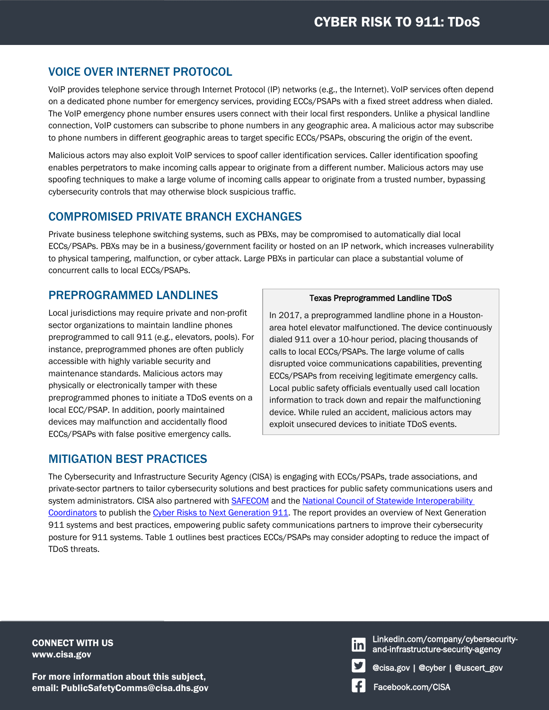## VOICE OVER INTERNET PROTOCOL

VoIP provides telephone service through Internet Protocol (IP) networks (e.g., the Internet). VoIP services often depend on a dedicated phone number for emergency services, providing ECCs/PSAPs with a fixed street address when dialed. The VoIP emergency phone number ensures users connect with their local first responders. Unlike a physical landline connection, VoIP customers can subscribe to phone numbers in any geographic area. A malicious actor may subscribe to phone numbers in different geographic areas to target specific ECCs/PSAPs, obscuring the origin of the event.

Malicious actors may also exploit VoIP services to spoof caller identification services. Caller identification spoofing enables perpetrators to make incoming calls appear to originate from a different number. Malicious actors may use spoofing techniques to make a large volume of incoming calls appear to originate from a trusted number, bypassing cybersecurity controls that may otherwise block suspicious traffic.

## COMPROMISED PRIVATE BRANCH EXCHANGES

Private business telephone switching systems, such as PBXs, may be compromised to automatically dial local ECCs/PSAPs. PBXs may be in a business/government facility or hosted on an IP network, which increases vulnerability to physical tampering, malfunction, or cyber attack. Large PBXs in particular can place a substantial volume of concurrent calls to local ECCs/PSAPs.

## PREPROGRAMMED LANDLINES

Local jurisdictions may require private and non-profit sector organizations to maintain landline phones preprogrammed to call 911 (e.g., elevators, pools). For instance, preprogrammed phones are often publicly accessible with highly variable security and maintenance standards. Malicious actors may physically or electronically tamper with these preprogrammed phones to initiate a TDoS events on a local ECC/PSAP. In addition, poorly maintained devices may malfunction and accidentally flood ECCs/PSAPs with false positive emergency calls.

### MITIGATION BEST PRACTICES

#### Texas Preprogrammed Landline TDoS

In 2017, a preprogrammed landline phone in a Houstonarea hotel elevator malfunctioned. The device continuously dialed 911 over a 10-hour period, placing thousands of calls to local ECCs/PSAPs. The large volume of calls disrupted voice communications capabilities, preventing ECCs/PSAPs from receiving legitimate emergency calls. Local public safety officials eventually used call location information to track down and repair the malfunctioning device. While ruled an accident, malicious actors may exploit unsecured devices to initiate TDoS events.

The Cybersecurity and Infrastructure Security Agency (CISA) is engaging with ECCs/PSAPs, trade associations, and private-sector partners to tailor cybersecurity solutions and best practices for public safety communications users and system administrators. CISA also partnered with [SAFECOM](https://www.cisa.gov/safecom) and the [National Council of Statewide Interoperability](https://www.cisa.gov/safecom/NCSWIC)  [Coordinators](https://www.cisa.gov/safecom/NCSWIC) to publish the [Cyber Risks to Next Generation 911.](https://www.cisa.gov/safecom/next-generation-911) The report provides an overview of Next Generation 911 systems and best practices, empowering public safety communications partners to improve their cybersecurity posture for 911 systems. Table 1 outlines best practices ECCs/PSAPs may consider adopting to reduce the impact of TDoS threats.

CONNECT WITH US www.cisa.gov

For more information about this subject, email: PublicSafetyComms@cisa.dhs.gov

- Linkedin.com/company/cybersecurity- $\mathsf{in}$ and-infrastructure-security-agency
	- @cisa.gov | @cyber | @uscert\_gov
	- Facebook.com/CISA